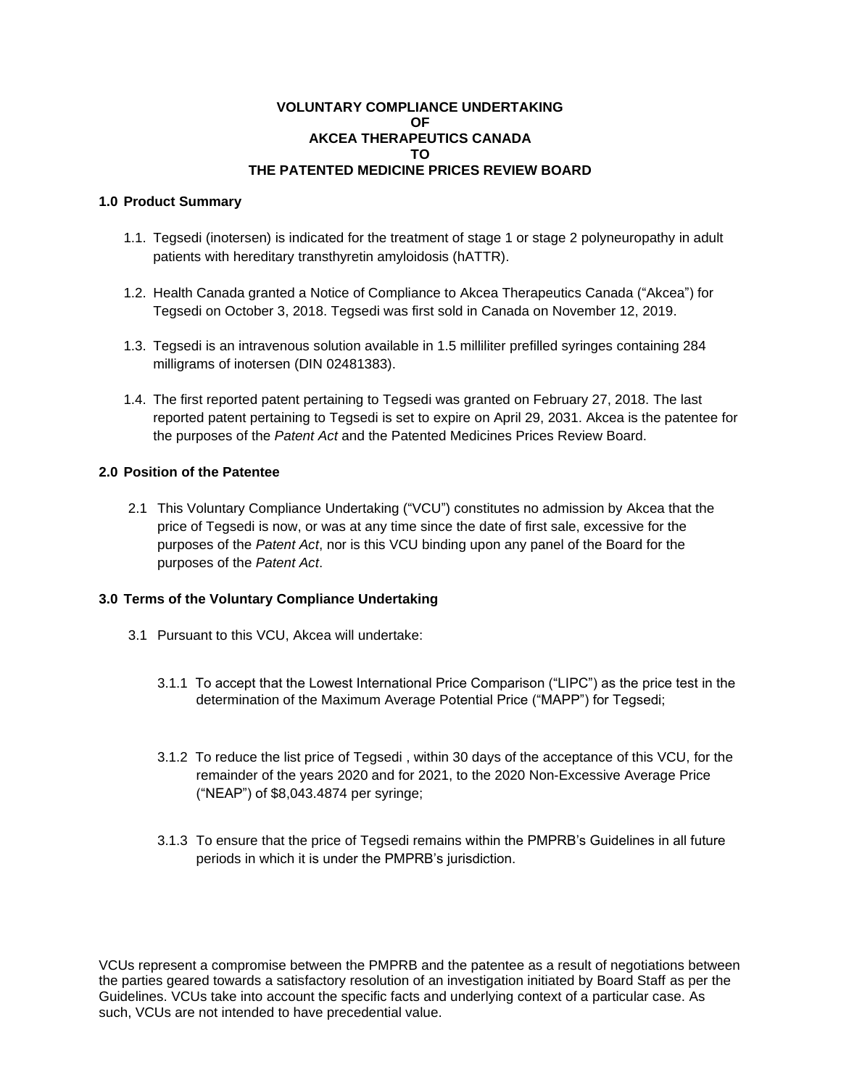## **VOLUNTARY COMPLIANCE UNDERTAKING OF AKCEA THERAPEUTICS CANADA TO THE PATENTED MEDICINE PRICES REVIEW BOARD**

## **1.0 Product Summary**

- 1.1. Tegsedi (inotersen) is indicated for the treatment of stage 1 or stage 2 polyneuropathy in adult patients with hereditary transthyretin amyloidosis (hATTR).
- 1.2. Health Canada granted a Notice of Compliance to Akcea Therapeutics Canada ("Akcea") for Tegsedi on October 3, 2018. Tegsedi was first sold in Canada on November 12, 2019.
- 1.3. Tegsedi is an intravenous solution available in 1.5 milliliter prefilled syringes containing 284 milligrams of inotersen (DIN 02481383).
- 1.4. The first reported patent pertaining to Tegsedi was granted on February 27, 2018. The last reported patent pertaining to Tegsedi is set to expire on April 29, 2031. Akcea is the patentee for the purposes of the *Patent Act* and the Patented Medicines Prices Review Board.

## **2.0 Position of the Patentee**

2.1 This Voluntary Compliance Undertaking ("VCU") constitutes no admission by Akcea that the price of Tegsedi is now, or was at any time since the date of first sale, excessive for the purposes of the *Patent Act*, nor is this VCU binding upon any panel of the Board for the purposes of the *Patent Act*.

## **3.0 Terms of the Voluntary Compliance Undertaking**

- 3.1 Pursuant to this VCU, Akcea will undertake:
	- 3.1.1 To accept that the Lowest International Price Comparison ("LIPC") as the price test in the determination of the Maximum Average Potential Price ("MAPP") for Tegsedi;
	- 3.1.2 To reduce the list price of Tegsedi , within 30 days of the acceptance of this VCU, for the remainder of the years 2020 and for 2021, to the 2020 Non-Excessive Average Price ("NEAP") of \$8,043.4874 per syringe;
	- 3.1.3 To ensure that the price of Tegsedi remains within the PMPRB's Guidelines in all future periods in which it is under the PMPRB's jurisdiction.

VCUs represent a compromise between the PMPRB and the patentee as a result of negotiations between the parties geared towards a satisfactory resolution of an investigation initiated by Board Staff as per the Guidelines. VCUs take into account the specific facts and underlying context of a particular case. As such, VCUs are not intended to have precedential value.